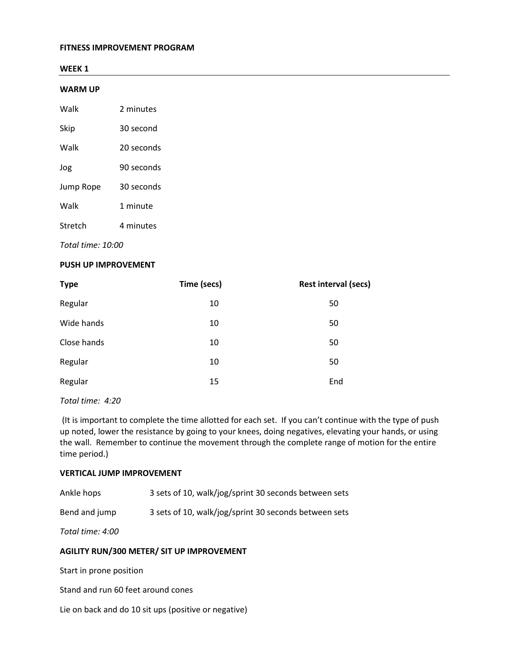#### **FITNESS IMPROVEMENT PROGRAM**

#### **WEEK 1**

#### **WARM UP**

| Walk | 2 minutes |
|------|-----------|
|------|-----------|

| Skip | 30 second |
|------|-----------|
|      |           |

Walk 20 seconds

Jog 90 seconds

Jump Rope 30 seconds

Walk 1 minute

Stretch 4 minutes

*Total time: 10:00*

#### **PUSH UP IMPROVEMENT**

| <b>Type</b> | Time (secs) | <b>Rest interval (secs)</b> |
|-------------|-------------|-----------------------------|
| Regular     | 10          | 50                          |
| Wide hands  | 10          | 50                          |
| Close hands | 10          | 50                          |
| Regular     | 10          | 50                          |
| Regular     | 15          | End                         |

*Total time: 4:20*

(It is important to complete the time allotted for each set. If you can't continue with the type of push up noted, lower the resistance by going to your knees, doing negatives, elevating your hands, or using the wall. Remember to continue the movement through the complete range of motion for the entire time period.)

#### **VERTICAL JUMP IMPROVEMENT**

| Ankle hops | 3 sets of 10, walk/jog/sprint 30 seconds between sets |
|------------|-------------------------------------------------------|
|------------|-------------------------------------------------------|

Bend and jump 3 sets of 10, walk/jog/sprint 30 seconds between sets

*Total time: 4:00*

#### **AGILITY RUN/300 METER/ SIT UP IMPROVEMENT**

Start in prone position

Stand and run 60 feet around cones

Lie on back and do 10 sit ups (positive or negative)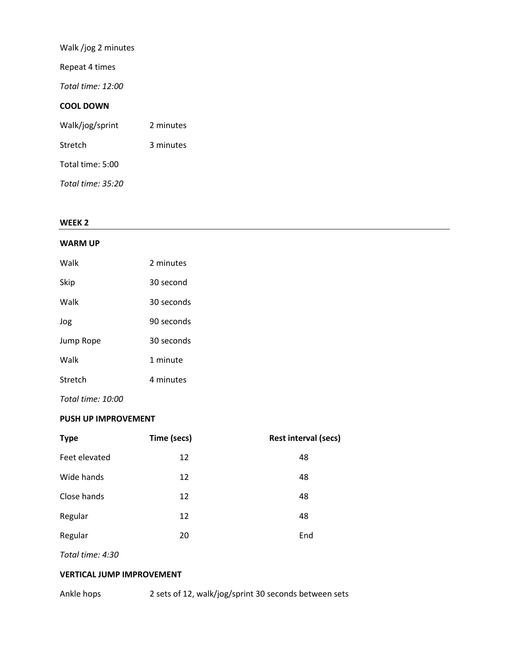Walk /jog 2 minutes Repeat 4 times *Total time: 12:00* **COOL DOWN** Walk/jog/sprint 2 minutes Stretch 3 minutes Total time: 5:00 *Total time: 35:20*

#### **WEEK 2**

#### **WARM UP**

| Walk      | 2 minutes  |
|-----------|------------|
| Skip      | 30 second  |
| Walk      | 30 seconds |
| Jog       | 90 seconds |
| Jump Rope | 30 seconds |
| Walk      | 1 minute   |
| Stretch   | 4 minutes  |

*Total time: 10:00*

#### **PUSH UP IMPROVEMENT**

| <b>Type</b>   | Time (secs) | <b>Rest interval (secs)</b> |
|---------------|-------------|-----------------------------|
| Feet elevated | 12          | 48                          |
| Wide hands    | 12          | 48                          |
| Close hands   | 12          | 48                          |
| Regular       | 12          | 48                          |
| Regular       | 20          | End                         |

*Total time: 4:30*

### **VERTICAL JUMP IMPROVEMENT**

Ankle hops 2 sets of 12, walk/jog/sprint 30 seconds between sets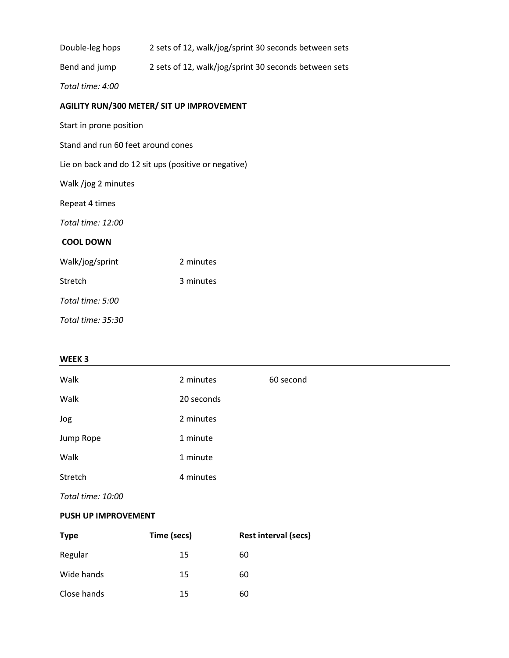| Double-leg hops                    | 2 sets of 12, walk/jog/sprint 30 seconds between sets |
|------------------------------------|-------------------------------------------------------|
| Bend and jump                      | 2 sets of 12, walk/jog/sprint 30 seconds between sets |
| Total time: 4:00                   |                                                       |
|                                    | <b>AGILITY RUN/300 METER/ SIT UP IMPROVEMENT</b>      |
| Start in prone position            |                                                       |
| Stand and run 60 feet around cones |                                                       |
|                                    | Lie on back and do 12 sit ups (positive or negative)  |
| Walk /jog 2 minutes                |                                                       |
| Repeat 4 times                     |                                                       |
| Total time: 12:00                  |                                                       |
| <b>COOL DOWN</b>                   |                                                       |
| Walk/jog/sprint                    | 2 minutes                                             |
| Stretch                            | 3 minutes                                             |
| Total time: 5:00                   |                                                       |
| Total time: 35:30                  |                                                       |

## **WEEK 3**

| Walk      | 2 minutes  | 60 second |
|-----------|------------|-----------|
| Walk      | 20 seconds |           |
| Jog       | 2 minutes  |           |
| Jump Rope | 1 minute   |           |
| Walk      | 1 minute   |           |
| Stretch   | 4 minutes  |           |
|           |            |           |

*Total time: 10:00*

#### **PUSH UP IMPROVEMENT**

| <b>Type</b> | Time (secs) | Rest interval (secs) |
|-------------|-------------|----------------------|
| Regular     | 15          | 60                   |
| Wide hands  | 15          | 60                   |
| Close hands | 15          | 60                   |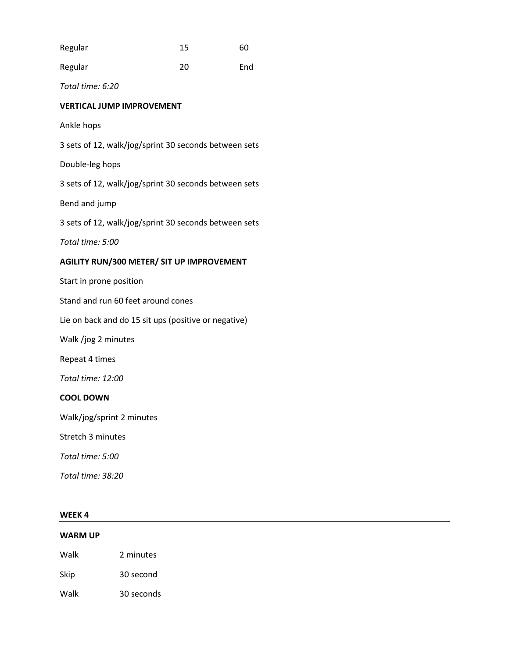| Regular                                               | 15 | 60  |
|-------------------------------------------------------|----|-----|
| Regular                                               | 20 | End |
| Total time: 6:20                                      |    |     |
| <b>VERTICAL JUMP IMPROVEMENT</b>                      |    |     |
| Ankle hops                                            |    |     |
| 3 sets of 12, walk/jog/sprint 30 seconds between sets |    |     |
| Double-leg hops                                       |    |     |
| 3 sets of 12, walk/jog/sprint 30 seconds between sets |    |     |
| Bend and jump                                         |    |     |
| 3 sets of 12, walk/jog/sprint 30 seconds between sets |    |     |
| Total time: 5:00                                      |    |     |
| <b>AGILITY RUN/300 METER/ SIT UP IMPROVEMENT</b>      |    |     |
| Start in prone position                               |    |     |
| Stand and run 60 feet around cones                    |    |     |
| Lie on back and do 15 sit ups (positive or negative)  |    |     |
| Walk /jog 2 minutes                                   |    |     |
| Repeat 4 times                                        |    |     |
| Total time: 12:00                                     |    |     |
| <b>COOL DOWN</b>                                      |    |     |
| Walk/jog/sprint 2 minutes                             |    |     |
| Stretch 3 minutes                                     |    |     |
| Total time: 5:00                                      |    |     |
| Total time: 38:20                                     |    |     |
|                                                       |    |     |

## **WEEK 4**

## **WARM UP**

Walk 2 minutes

Skip 30 second

Walk 30 seconds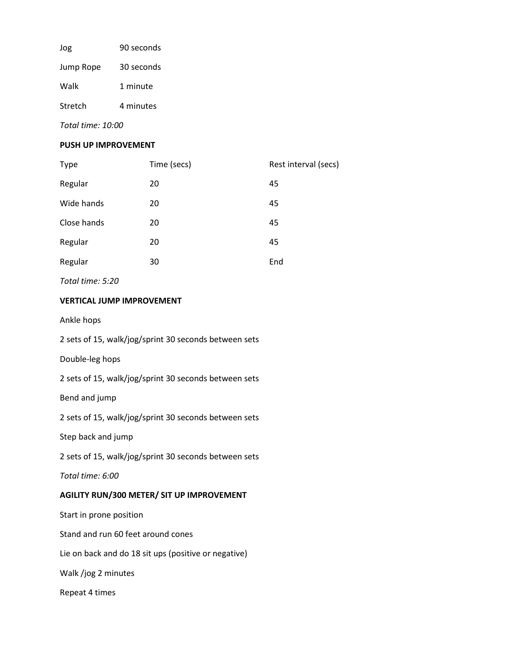| Jog       | 90 seconds |
|-----------|------------|
| Jump Rope | 30 seconds |
| Walk      | 1 minute   |
| Stretch   | 4 minutes  |

*Total time: 10:00*

#### **PUSH UP IMPROVEMENT**

| <b>Type</b> | Time (secs) | Rest interval (secs) |
|-------------|-------------|----------------------|
| Regular     | 20          | 45                   |
| Wide hands  | 20          | 45                   |
| Close hands | 20          | 45                   |
| Regular     | 20          | 45                   |
| Regular     | 30          | End                  |
|             |             |                      |

*Total time: 5:20*

## **VERTICAL JUMP IMPROVEMENT**

Ankle hops

2 sets of 15, walk/jog/sprint 30 seconds between sets

Double-leg hops

2 sets of 15, walk/jog/sprint 30 seconds between sets

Bend and jump

2 sets of 15, walk/jog/sprint 30 seconds between sets

Step back and jump

2 sets of 15, walk/jog/sprint 30 seconds between sets

*Total time: 6:00*

## **AGILITY RUN/300 METER/ SIT UP IMPROVEMENT**

Start in prone position

Stand and run 60 feet around cones

Lie on back and do 18 sit ups (positive or negative)

Walk /jog 2 minutes

Repeat 4 times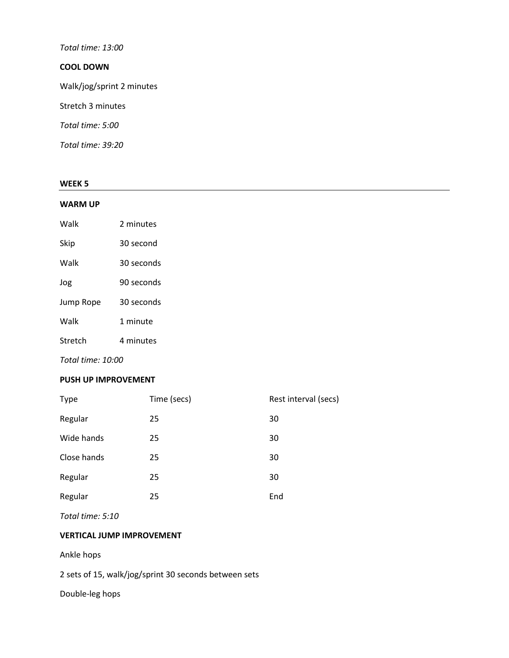## *Total time: 13:00*

## **COOL DOWN**

Walk/jog/sprint 2 minutes

Stretch 3 minutes

*Total time: 5:00*

*Total time: 39:20*

#### **WEEK 5**

#### **WARM UP**

| Walk      | 2 minutes  |
|-----------|------------|
| Skip      | 30 second  |
| Walk      | 30 seconds |
| Jog       | 90 seconds |
| Jump Rope | 30 seconds |
| Walk      | 1 minute   |
| Stretch   | 4 minutes  |

*Total time: 10:00*

#### **PUSH UP IMPROVEMENT**

| <b>Type</b> | Time (secs) | Rest interval (secs) |
|-------------|-------------|----------------------|
| Regular     | 25          | 30                   |
| Wide hands  | 25          | 30                   |
| Close hands | 25          | 30                   |
| Regular     | 25          | 30                   |
| Regular     | 25          | End                  |

*Total time: 5:10*

## **VERTICAL JUMP IMPROVEMENT**

Ankle hops

2 sets of 15, walk/jog/sprint 30 seconds between sets

Double-leg hops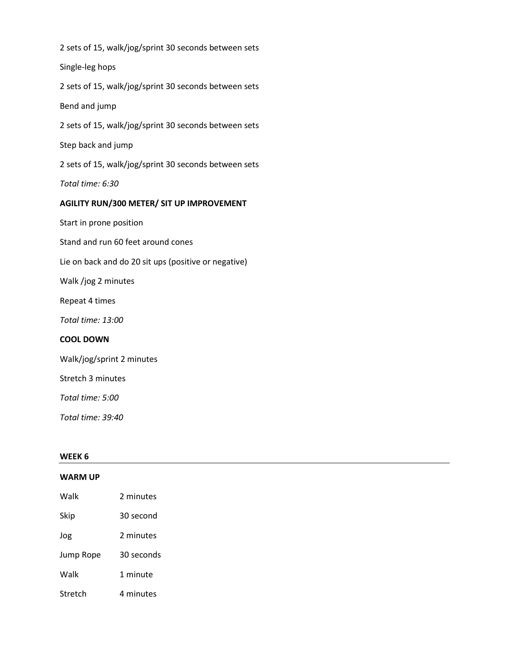2 sets of 15, walk/jog/sprint 30 seconds between sets Single-leg hops 2 sets of 15, walk/jog/sprint 30 seconds between sets Bend and jump 2 sets of 15, walk/jog/sprint 30 seconds between sets Step back and jump 2 sets of 15, walk/jog/sprint 30 seconds between sets *Total time: 6:30* **AGILITY RUN/300 METER/ SIT UP IMPROVEMENT** Start in prone position Stand and run 60 feet around cones Lie on back and do 20 sit ups (positive or negative) Walk /jog 2 minutes Repeat 4 times *Total time: 13:00* **COOL DOWN** Walk/jog/sprint 2 minutes Stretch 3 minutes *Total time: 5:00 Total time: 39:40* **WEEK 6**

#### **WARM UP**

| Walk      | 2 minutes  |
|-----------|------------|
| Skip      | 30 second  |
| Jog       | 2 minutes  |
| Jump Rope | 30 seconds |
| Walk      | 1 minute   |
| Stretch   | 4 minutes  |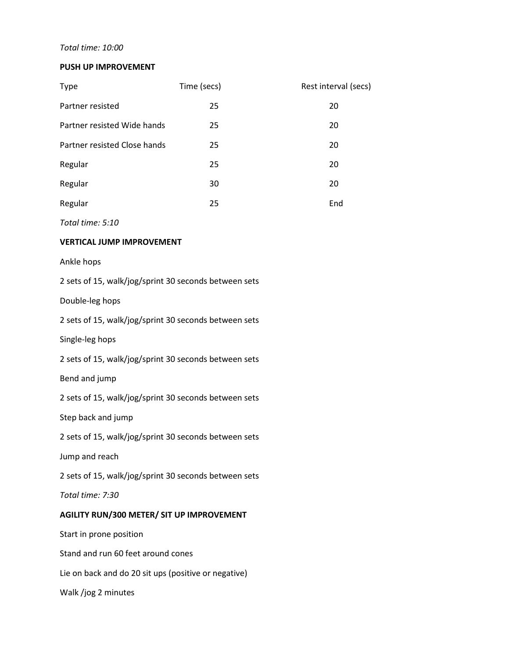## *Total time: 10:00*

#### **PUSH UP IMPROVEMENT**

| <b>Type</b>                  | Time (secs) | Rest interval (secs) |
|------------------------------|-------------|----------------------|
| Partner resisted             | 25          | 20                   |
| Partner resisted Wide hands  | 25          | 20                   |
| Partner resisted Close hands | 25          | 20                   |
| Regular                      | 25          | 20                   |
| Regular                      | 30          | 20                   |
| Regular                      | 25          | End                  |

*Total time: 5:10*

## **VERTICAL JUMP IMPROVEMENT**

Ankle hops

| 2 sets of 15, walk/jog/sprint 30 seconds between sets |
|-------------------------------------------------------|
| Double-leg hops                                       |
| 2 sets of 15, walk/jog/sprint 30 seconds between sets |
| Single-leg hops                                       |
| 2 sets of 15, walk/jog/sprint 30 seconds between sets |
| Bend and jump                                         |
| 2 sets of 15, walk/jog/sprint 30 seconds between sets |
| Step back and jump                                    |
| 2 sets of 15, walk/jog/sprint 30 seconds between sets |
| Jump and reach                                        |
| 2 sets of 15, walk/jog/sprint 30 seconds between sets |
| Total time: 7:30                                      |
| <b>AGILITY RUN/300 METER/ SIT UP IMPROVEMENT</b>      |
| Start in prone position                               |
| Stand and run 60 feet around cones                    |
| Lie on back and do 20 sit ups (positive or negative)  |
| Walk /jog 2 minutes                                   |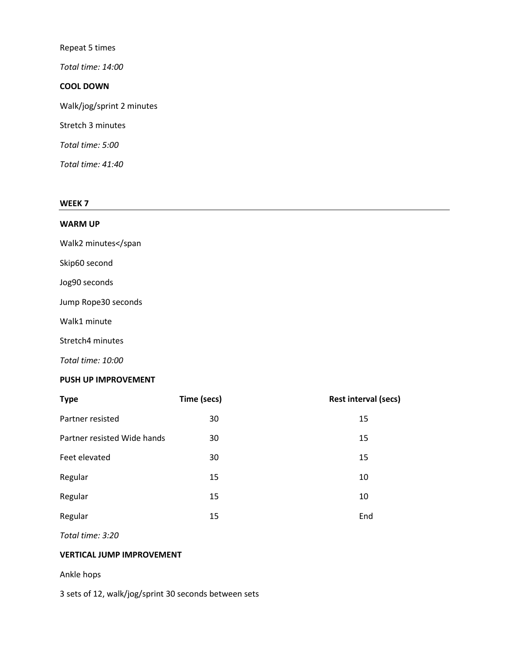Repeat 5 times

*Total time: 14:00*

#### **COOL DOWN**

Walk/jog/sprint 2 minutes

Stretch 3 minutes

*Total time: 5:00*

*Total time: 41:40*

#### **WEEK 7**

#### **WARM UP**

Walk2 minutes</span

Skip60 second

Jog90 seconds

Jump Rope30 seconds

Walk1 minute

Stretch4 minutes

*Total time: 10:00*

#### **PUSH UP IMPROVEMENT**

| <b>Type</b>                 | Time (secs) | <b>Rest interval (secs)</b> |
|-----------------------------|-------------|-----------------------------|
| Partner resisted            | 30          | 15                          |
| Partner resisted Wide hands | 30          | 15                          |
| Feet elevated               | 30          | 15                          |
| Regular                     | 15          | 10                          |
| Regular                     | 15          | 10                          |
| Regular                     | 15          | End                         |

*Total time: 3:20*

## **VERTICAL JUMP IMPROVEMENT**

Ankle hops

3 sets of 12, walk/jog/sprint 30 seconds between sets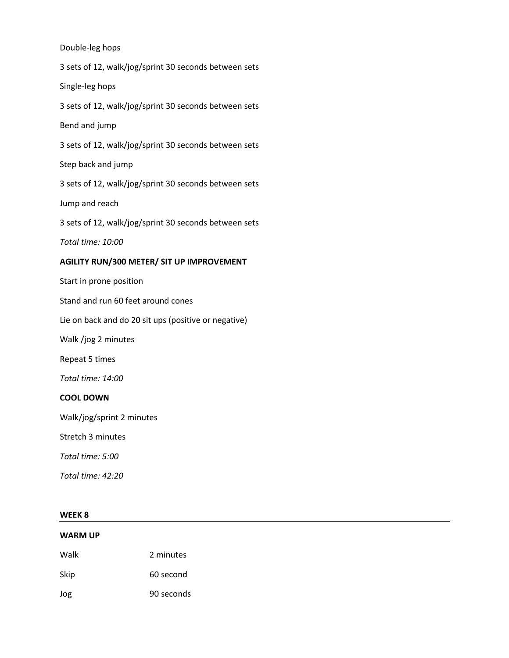Double-leg hops 3 sets of 12, walk/jog/sprint 30 seconds between sets Single-leg hops 3 sets of 12, walk/jog/sprint 30 seconds between sets Bend and jump 3 sets of 12, walk/jog/sprint 30 seconds between sets Step back and jump 3 sets of 12, walk/jog/sprint 30 seconds between sets Jump and reach 3 sets of 12, walk/jog/sprint 30 seconds between sets *Total time: 10:00* **AGILITY RUN/300 METER/ SIT UP IMPROVEMENT** Start in prone position Stand and run 60 feet around cones Lie on back and do 20 sit ups (positive or negative) Walk /jog 2 minutes Repeat 5 times *Total time: 14:00* **COOL DOWN** Walk/jog/sprint 2 minutes Stretch 3 minutes *Total time: 5:00 Total time: 42:20*

#### **WEEK 8**

# **WARM UP** Walk 2 minutes Skip 60 second Jog 90 seconds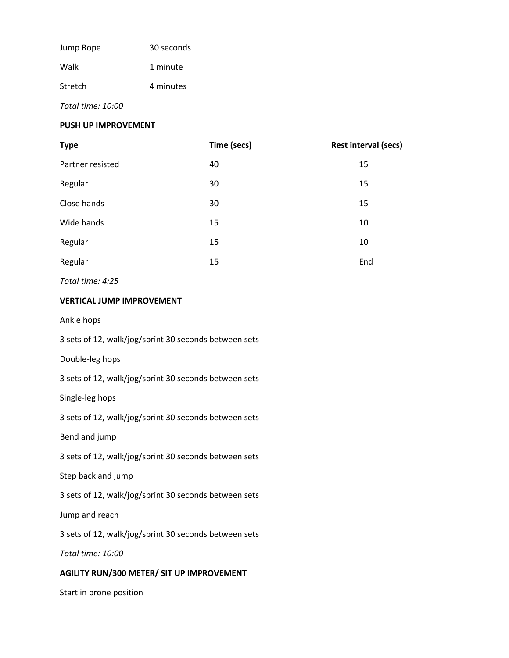| Jump Rope | 30 seconds |  |
|-----------|------------|--|
| Walk      | 1 minute   |  |
| Stretch   | 4 minutes  |  |

*Total time: 10:00*

#### **PUSH UP IMPROVEMENT**

| <b>Type</b>      | Time (secs) | <b>Rest interval (secs)</b> |
|------------------|-------------|-----------------------------|
| Partner resisted | 40          | 15                          |
| Regular          | 30          | 15                          |
| Close hands      | 30          | 15                          |
| Wide hands       | 15          | 10                          |
| Regular          | 15          | 10                          |
| Regular          | 15          | End                         |

*Total time: 4:25*

#### **VERTICAL JUMP IMPROVEMENT**

Ankle hops

3 sets of 12, walk/jog/sprint 30 seconds between sets

Double-leg hops

3 sets of 12, walk/jog/sprint 30 seconds between sets

Single-leg hops

3 sets of 12, walk/jog/sprint 30 seconds between sets

Bend and jump

3 sets of 12, walk/jog/sprint 30 seconds between sets

Step back and jump

3 sets of 12, walk/jog/sprint 30 seconds between sets

Jump and reach

3 sets of 12, walk/jog/sprint 30 seconds between sets

*Total time: 10:00*

## **AGILITY RUN/300 METER/ SIT UP IMPROVEMENT**

Start in prone position